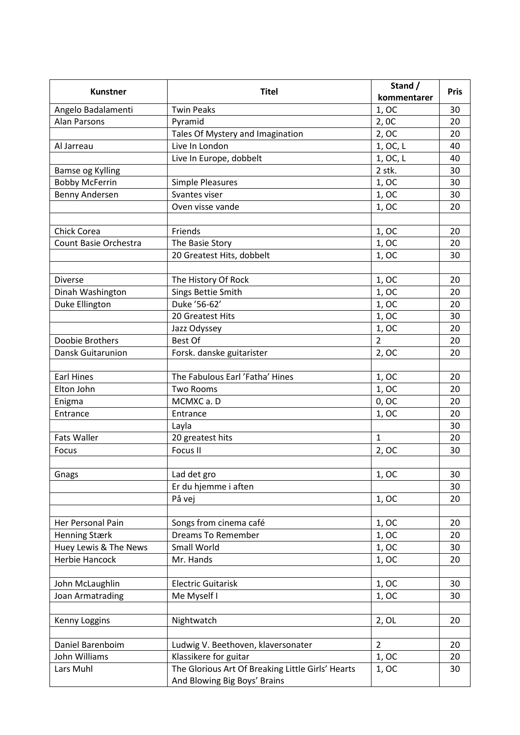| <b>Kunstner</b>              | <b>Titel</b>                                      | Stand /<br>kommentarer | <b>Pris</b> |
|------------------------------|---------------------------------------------------|------------------------|-------------|
| Angelo Badalamenti           | <b>Twin Peaks</b>                                 | 1,OC                   | 30          |
| <b>Alan Parsons</b>          | Pyramid                                           | 2,0C                   | 20          |
|                              | Tales Of Mystery and Imagination                  | 2,OC                   | 20          |
| Al Jarreau                   | Live In London                                    | 1, OC, L               | 40          |
|                              | Live In Europe, dobbelt                           | 1, OC, L               | 40          |
| Bamse og Kylling             |                                                   | 2 stk.                 | 30          |
| <b>Bobby McFerrin</b>        | <b>Simple Pleasures</b>                           | 1,OC                   | 30          |
| Benny Andersen               | Svantes viser                                     | 1,OC                   | 30          |
|                              | Oven visse vande                                  | 1,OC                   | 20          |
|                              |                                                   |                        |             |
| Chick Corea                  | Friends                                           | 1,OC                   | 20          |
| <b>Count Basie Orchestra</b> | The Basie Story                                   | 1,OC                   | 20          |
|                              | 20 Greatest Hits, dobbelt                         | 1,OC                   | 30          |
|                              |                                                   |                        |             |
| <b>Diverse</b>               | The History Of Rock                               | 1,OC                   | 20          |
| Dinah Washington             | Sings Bettie Smith                                | 1,OC                   | 20          |
| <b>Duke Ellington</b>        | Duke '56-62'                                      | 1,OC                   | 20          |
|                              | 20 Greatest Hits                                  | 1,OC                   | 30          |
|                              | Jazz Odyssey                                      | 1,OC                   | 20          |
| Doobie Brothers              | <b>Best Of</b>                                    | $\overline{2}$         | 20          |
| Dansk Guitarunion            | Forsk. danske guitarister                         | 2,OC                   | 20          |
|                              |                                                   |                        |             |
| <b>Earl Hines</b>            | The Fabulous Earl 'Fatha' Hines                   | 1, OC                  | 20          |
| Elton John                   | <b>Two Rooms</b>                                  | 1, OC                  | 20          |
| Enigma                       | MCMXC a.D                                         | 0, OC                  | 20          |
| Entrance                     | Entrance                                          | 1,OC                   | 20          |
|                              | Layla                                             |                        | 30          |
| <b>Fats Waller</b>           | 20 greatest hits                                  | $\mathbf{1}$           | 20          |
| Focus                        | Focus II                                          | 2,OC                   | 30          |
|                              |                                                   |                        |             |
| Gnags                        | Lad det gro                                       | 1,OC                   | 30          |
|                              | Er du hjemme i aften                              |                        | 30          |
|                              | På vej                                            | 1, OC                  | 20          |
|                              |                                                   |                        |             |
| Her Personal Pain            | Songs from cinema café                            | 1,OC                   | 20          |
| <b>Henning Stærk</b>         | <b>Dreams To Remember</b>                         | 1,OC                   | 20          |
| Huey Lewis & The News        | Small World                                       | 1, OC                  | 30          |
| <b>Herbie Hancock</b>        | Mr. Hands                                         | 1,OC                   | 20          |
|                              |                                                   |                        |             |
| John McLaughlin              | <b>Electric Guitarisk</b>                         | 1, OC                  | 30          |
| Joan Armatrading             | Me Myself I                                       | 1, OC                  | 30          |
|                              |                                                   |                        |             |
| Kenny Loggins                | Nightwatch                                        | 2, 0L                  | 20          |
|                              |                                                   |                        |             |
| Daniel Barenboim             | Ludwig V. Beethoven, klaversonater                | $\overline{2}$         | 20          |
| John Williams                | Klassikere for guitar                             | 1, OC                  | 20          |
| Lars Muhl                    | The Glorious Art Of Breaking Little Girls' Hearts | 1,OC                   | 30          |
|                              | And Blowing Big Boys' Brains                      |                        |             |